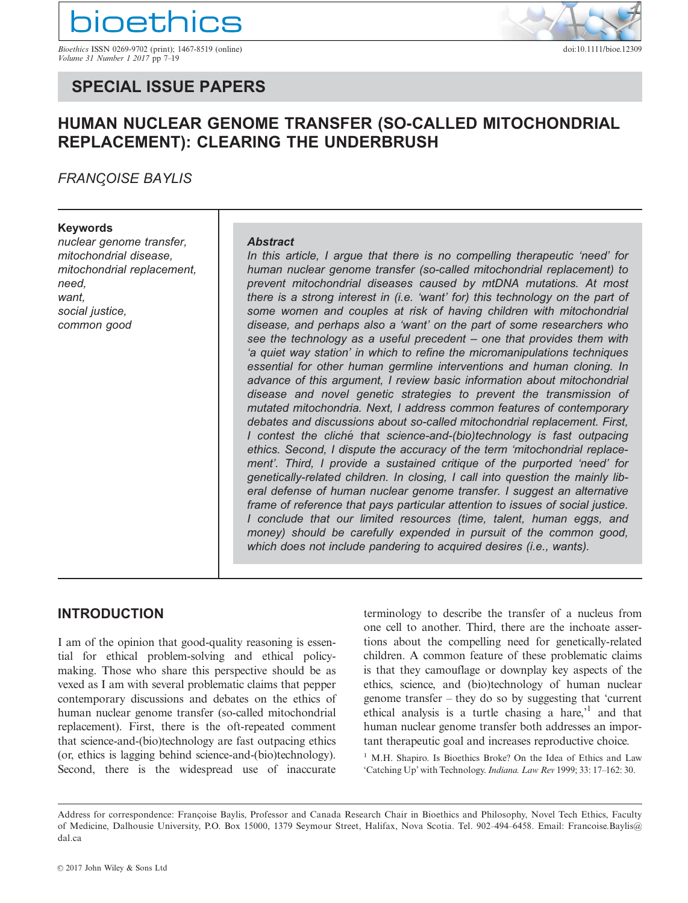Bioethics ISSN 0269-9702 (print); 1467-8519 (online) doi:10.1111/bioe.12309 Volume 31 Number 1 2017 pp 7–19

SPECIAL ISSUE PAPERS



# HUMAN NUCLEAR GENOME TRANSFER (SO-CALLED MITOCHONDRIAL REPLACEMENT): CLEARING THE UNDERBRUSH

**FRANÇOISE BAYLIS** 

### Keywords

nuclear genome transfer, mitochondrial disease, mitochondrial replacement, need, want, social justice, common good

#### **Abstract**

In this article, I argue that there is no compelling therapeutic 'need' for human nuclear genome transfer (so-called mitochondrial replacement) to prevent mitochondrial diseases caused by mtDNA mutations. At most there is a strong interest in (i.e. 'want' for) this technology on the part of some women and couples at risk of having children with mitochondrial disease, and perhaps also a 'want' on the part of some researchers who see the technology as a useful precedent – one that provides them with 'a quiet way station' in which to refine the micromanipulations techniques essential for other human germline interventions and human cloning. In advance of this argument, I review basic information about mitochondrial disease and novel genetic strategies to prevent the transmission of mutated mitochondria. Next, I address common features of contemporary debates and discussions about so-called mitochondrial replacement. First, I contest the cliché that science-and-(bio)technology is fast outpacing ethics. Second, I dispute the accuracy of the term 'mitochondrial replacement'. Third, I provide a sustained critique of the purported 'need' for genetically-related children. In closing, I call into question the mainly liberal defense of human nuclear genome transfer. I suggest an alternative frame of reference that pays particular attention to issues of social justice. I conclude that our limited resources (time, talent, human eggs, and money) should be carefully expended in pursuit of the common good, which does not include pandering to acquired desires (i.e., wants).

# INTRODUCTION

I am of the opinion that good-quality reasoning is essential for ethical problem-solving and ethical policymaking. Those who share this perspective should be as vexed as I am with several problematic claims that pepper contemporary discussions and debates on the ethics of human nuclear genome transfer (so-called mitochondrial replacement). First, there is the oft-repeated comment that science-and-(bio)technology are fast outpacing ethics (or, ethics is lagging behind science-and-(bio)technology). Second, there is the widespread use of inaccurate

terminology to describe the transfer of a nucleus from one cell to another. Third, there are the inchoate assertions about the compelling need for genetically-related children. A common feature of these problematic claims is that they camouflage or downplay key aspects of the ethics, science, and (bio)technology of human nuclear genome transfer  $-$  they do so by suggesting that 'current ethical analysis is a turtle chasing a hare,<sup> $1$ </sup> and that human nuclear genome transfer both addresses an important therapeutic goal and increases reproductive choice.

<sup>1</sup> M.H. Shapiro. Is Bioethics Broke? On the Idea of Ethics and Law 'Catching Up' with Technology. Indiana. Law Rev 1999; 33: 17-162: 30.

Address for correspondence: Françoise Baylis, Professor and Canada Research Chair in Bioethics and Philosophy, Novel Tech Ethics, Faculty of Medicine, Dalhousie University, P.O. Box 15000, 1379 Seymour Street, Halifax, Nova Scotia. Tel. 902–494–6458. Email: Francoise.Baylis@ dal.ca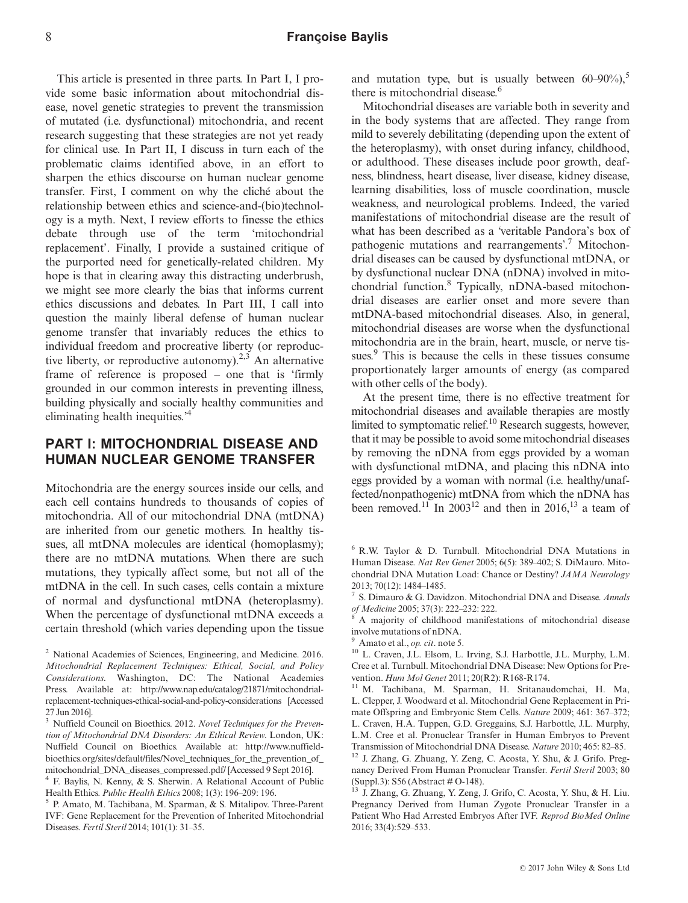This article is presented in three parts. In Part I, I provide some basic information about mitochondrial disease, novel genetic strategies to prevent the transmission of mutated (i.e. dysfunctional) mitochondria, and recent research suggesting that these strategies are not yet ready for clinical use. In Part II, I discuss in turn each of the problematic claims identified above, in an effort to sharpen the ethics discourse on human nuclear genome transfer. First, I comment on why the cliché about the relationship between ethics and science-and-(bio)technology is a myth. Next, I review efforts to finesse the ethics debate through use of the term -mitochondrial replacement. Finally, I provide a sustained critique of the purported need for genetically-related children. My hope is that in clearing away this distracting underbrush, we might see more clearly the bias that informs current ethics discussions and debates. In Part III, I call into question the mainly liberal defense of human nuclear genome transfer that invariably reduces the ethics to individual freedom and procreative liberty (or reproductive liberty, or reproductive autonomy).<sup>2,3</sup> An alternative frame of reference is proposed – one that is 'firmly grounded in our common interests in preventing illness, building physically and socially healthy communities and eliminating health inequities.<sup>4</sup>

## PART I: MITOCHONDRIAL DISEASE AND HUMAN NUCLEAR GENOME TRANSFER

Mitochondria are the energy sources inside our cells, and each cell contains hundreds to thousands of copies of mitochondria. All of our mitochondrial DNA (mtDNA) are inherited from our genetic mothers. In healthy tissues, all mtDNA molecules are identical (homoplasmy); there are no mtDNA mutations. When there are such mutations, they typically affect some, but not all of the mtDNA in the cell. In such cases, cells contain a mixture of normal and dysfunctional mtDNA (heteroplasmy). When the percentage of dysfunctional mtDNA exceeds a certain threshold (which varies depending upon the tissue

<sup>4</sup> F. Baylis, N. Kenny, & S. Sherwin. A Relational Account of Public Health Ethics. *Public Health Ethics* 2008; 1(3): 196–209: 196.

 $5$  P. Amato, M. Tachibana, M. Sparman, & S. Mitalipov. Three-Parent IVF: Gene Replacement for the Prevention of Inherited Mitochondrial Diseases. Fertil Steril 2014; 101(1): 31–35.

and mutation type, but is usually between  $60-90\%$ ,<sup>5</sup> there is mitochondrial disease.<sup>6</sup>

Mitochondrial diseases are variable both in severity and in the body systems that are affected. They range from mild to severely debilitating (depending upon the extent of the heteroplasmy), with onset during infancy, childhood, or adulthood. These diseases include poor growth, deafness, blindness, heart disease, liver disease, kidney disease, learning disabilities, loss of muscle coordination, muscle weakness, and neurological problems. Indeed, the varied manifestations of mitochondrial disease are the result of what has been described as a 'veritable Pandora's box of pathogenic mutations and rearrangements.7 Mitochondrial diseases can be caused by dysfunctional mtDNA, or by dysfunctional nuclear DNA (nDNA) involved in mitochondrial function.8 Typically, nDNA-based mitochondrial diseases are earlier onset and more severe than mtDNA-based mitochondrial diseases. Also, in general, mitochondrial diseases are worse when the dysfunctional mitochondria are in the brain, heart, muscle, or nerve tissues.<sup>9</sup> This is because the cells in these tissues consume proportionately larger amounts of energy (as compared with other cells of the body).

At the present time, there is no effective treatment for mitochondrial diseases and available therapies are mostly limited to symptomatic relief.<sup>10</sup> Research suggests, however, that it may be possible to avoid some mitochondrial diseases by removing the nDNA from eggs provided by a woman with dysfunctional mtDNA, and placing this nDNA into eggs provided by a woman with normal (i.e. healthy/unaffected/nonpathogenic) mtDNA from which the nDNA has been removed.<sup>11</sup> In 2003<sup>12</sup> and then in 2016,<sup>13</sup> a team of

<sup>2</sup> National Academies of Sciences, Engineering, and Medicine. 2016. Mitochondrial Replacement Techniques: Ethical, Social, and Policy Considerations. Washington, DC: The National Academies Press. Available at: [http://www.nap.edu/catalog/21871/mitochondrial](http://www.nap.edu/catalog/21871/mitochondrial-replacement-techniques-ethical-social-and-policy-considerations)[replacement-techniques-ethical-social-and-policy-considerations](http://www.nap.edu/catalog/21871/mitochondrial-replacement-techniques-ethical-social-and-policy-considerations) [Accessed 27 Jun 2016].

<sup>&</sup>lt;sup>3</sup> Nuffield Council on Bioethics. 2012. Novel Techniques for the Prevention of Mitochondrial DNA Disorders: An Ethical Review. London, UK: Nuffield Council on Bioethics. Available at: [http://www.nuffield](http://www.nuffieldbioethics.org/sites/default/files/Novel_techniques_for_the_prevention_of_mitochondrial_DNA_diseases_compressed.pdf/)[bioethics.org/sites/default/files/Novel\\_techniques\\_for\\_the\\_prevention\\_of\\_](http://www.nuffieldbioethics.org/sites/default/files/Novel_techniques_for_the_prevention_of_mitochondrial_DNA_diseases_compressed.pdf/) [mitochondrial\\_DNA\\_diseases\\_compressed.pdf/](http://www.nuffieldbioethics.org/sites/default/files/Novel_techniques_for_the_prevention_of_mitochondrial_DNA_diseases_compressed.pdf/) [Accessed 9 Sept 2016].

<sup>6</sup> R.W. Taylor & D. Turnbull. Mitochondrial DNA Mutations in Human Disease. Nat Rev Genet 2005; 6(5): 389–402; S. DiMauro. Mitochondrial DNA Mutation Load: Chance or Destiny? JAMA Neurology 2013; 70(12): 1484–1485.

S. Dimauro & G. Davidzon. Mitochondrial DNA and Disease. Annals of Medicine 2005; 37(3): 222–232: 222.<br><sup>8</sup> A majority of childhood manifestations of mitochondrial disease

involve mutations of nDNA.<br> $^{9}$  Amato et al., *op. cit.* note 5.

<sup>&</sup>lt;sup>10</sup> L. Craven, J.L. Elsom, L. Irving, S.J. Harbottle, J.L. Murphy, L.M. Cree et al. Turnbull. Mitochondrial DNA Disease: New Options for Prevention. Hum Mol Genet 2011; 20(R2): R168-R174.<br><sup>11</sup> M. Tachibana, M. Sparman, H. Sritanaudomchai, H. Ma,

L. Clepper, J. Woodward et al. Mitochondrial Gene Replacement in Primate Offspring and Embryonic Stem Cells. Nature 2009; 461: 367–372; L. Craven, H.A. Tuppen, G.D. Greggains, S.J. Harbottle, J.L. Murphy, L.M. Cree et al. Pronuclear Transfer in Human Embryos to Prevent

Transmission of Mitochondrial DNA Disease. Nature 2010; 465: 82–85. <sup>12</sup> J. Zhang, G. Zhuang, Y. Zeng, C. Acosta, Y. Shu, & J. Grifo. Pregnancy Derived From Human Pronuclear Transfer. Fertil Steril 2003; 80 (Suppl.3): S56 (Abstract # O-148).

<sup>13</sup> J. Zhang, G. Zhuang, Y. Zeng, J. Grifo, C. Acosta, Y. Shu, & H. Liu. Pregnancy Derived from Human Zygote Pronuclear Transfer in a Patient Who Had Arrested Embryos After IVF. Reprod BioMed Online 2016; 33(4):529–533.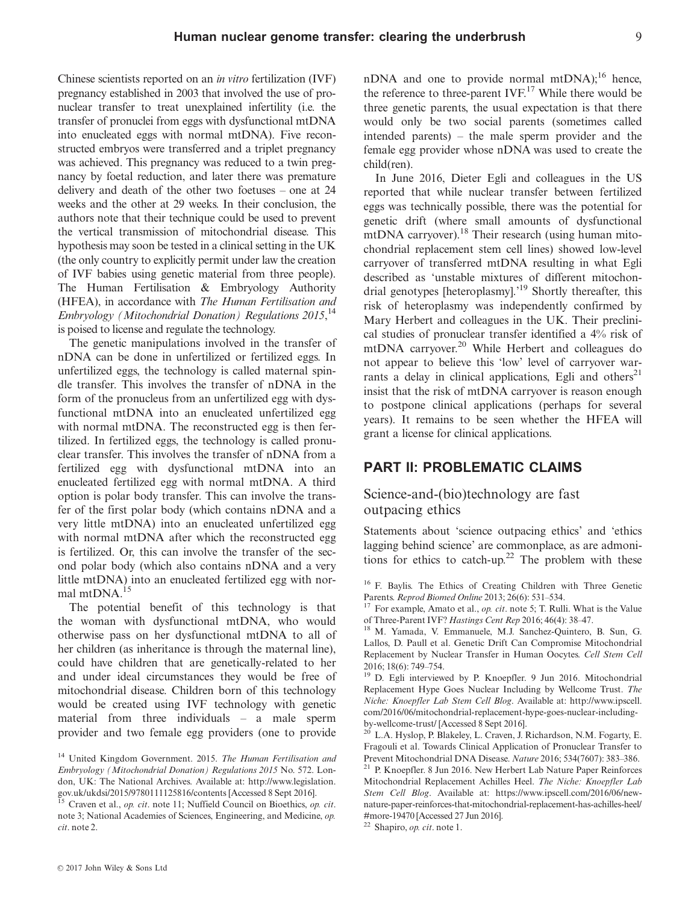Chinese scientists reported on an in vitro fertilization (IVF) pregnancy established in 2003 that involved the use of pronuclear transfer to treat unexplained infertility (i.e. the transfer of pronuclei from eggs with dysfunctional mtDNA into enucleated eggs with normal mtDNA). Five reconstructed embryos were transferred and a triplet pregnancy was achieved. This pregnancy was reduced to a twin pregnancy by foetal reduction, and later there was premature delivery and death of the other two foetuses – one at 24 weeks and the other at 29 weeks. In their conclusion, the authors note that their technique could be used to prevent the vertical transmission of mitochondrial disease. This hypothesis may soon be tested in a clinical setting in the UK (the only country to explicitly permit under law the creation of IVF babies using genetic material from three people). The Human Fertilisation & Embryology Authority (HFEA), in accordance with The Human Fertilisation and Embryology (Mitochondrial Donation) Regulations 2015,<sup>14</sup> is poised to license and regulate the technology.

The genetic manipulations involved in the transfer of nDNA can be done in unfertilized or fertilized eggs. In unfertilized eggs, the technology is called maternal spindle transfer. This involves the transfer of nDNA in the form of the pronucleus from an unfertilized egg with dysfunctional mtDNA into an enucleated unfertilized egg with normal mtDNA. The reconstructed egg is then fertilized. In fertilized eggs, the technology is called pronuclear transfer. This involves the transfer of nDNA from a fertilized egg with dysfunctional mtDNA into an enucleated fertilized egg with normal mtDNA. A third option is polar body transfer. This can involve the transfer of the first polar body (which contains nDNA and a very little mtDNA) into an enucleated unfertilized egg with normal mtDNA after which the reconstructed egg is fertilized. Or, this can involve the transfer of the second polar body (which also contains nDNA and a very little mtDNA) into an enucleated fertilized egg with normal mtDNA.15

The potential benefit of this technology is that the woman with dysfunctional mtDNA, who would otherwise pass on her dysfunctional mtDNA to all of her children (as inheritance is through the maternal line), could have children that are genetically-related to her and under ideal circumstances they would be free of mitochondrial disease. Children born of this technology would be created using IVF technology with genetic material from three individuals – a male sperm provider and two female egg providers (one to provide

nDNA and one to provide normal  $mtDNA$ ;<sup>16</sup> hence, the reference to three-parent  $IVF<sup>17</sup>$  While there would be three genetic parents, the usual expectation is that there would only be two social parents (sometimes called intended parents) – the male sperm provider and the female egg provider whose nDNA was used to create the child(ren).

In June 2016, Dieter Egli and colleagues in the US reported that while nuclear transfer between fertilized eggs was technically possible, there was the potential for genetic drift (where small amounts of dysfunctional  $m$ tDNA carryover).<sup>18</sup> Their research (using human mitochondrial replacement stem cell lines) showed low-level carryover of transferred mtDNA resulting in what Egli described as 'unstable mixtures of different mitochondrial genotypes [heteroplasmy].<sup>19</sup> Shortly thereafter, this risk of heteroplasmy was independently confirmed by Mary Herbert and colleagues in the UK. Their preclinical studies of pronuclear transfer identified a 4% risk of mtDNA carryover.20 While Herbert and colleagues do not appear to believe this 'low' level of carryover warrants a delay in clinical applications, Egli and others<sup>21</sup> insist that the risk of mtDNA carryover is reason enough to postpone clinical applications (perhaps for several years). It remains to be seen whether the HFEA will grant a license for clinical applications.

## PART II: PROBLEMATIC CLAIMS

## Science-and-(bio)technology are fast outpacing ethics

Statements about 'science outpacing ethics' and 'ethics lagging behind science' are commonplace, as are admonitions for ethics to catch-up.<sup>22</sup> The problem with these

<sup>&</sup>lt;sup>14</sup> United Kingdom Government. 2015. The Human Fertilisation and Embryology (Mitochondrial Donation) Regulations 2015 No. 572. London, UK: The National Archives. Available at: [http://www.legislation.](http://www.legislation.gov.uk/ukdsi/2015/9780111125816/contents) [gov.uk/ukdsi/2015/9780111125816/contents](http://www.legislation.gov.uk/ukdsi/2015/9780111125816/contents) [Accessed 8 Sept 2016].

<sup>&</sup>lt;sup>15</sup> Craven et al., *op. cit.* note 11; Nuffield Council on Bioethics, *op. cit.* note 3; National Academies of Sciences, Engineering, and Medicine, op. cit. note 2.

<sup>&</sup>lt;sup>16</sup> F. Baylis. The Ethics of Creating Children with Three Genetic Parents. *Reprod Biomed Online* 2013; 26(6): 531–534.<br><sup>17</sup> For example, Amato et al., *op. cit.* note 5; T. Rulli. What is the Value

of Three-Parent IVF? Hastings Cent Rep 2016; 46(4): 38–47.<br><sup>18</sup> M. Yamada, V. Emmanuele, M.J. Sanchez-Quintero, B. Sun, G. Lallos, D. Paull et al. Genetic Drift Can Compromise Mitochondrial Replacement by Nuclear Transfer in Human Oocytes. Cell Stem Cell 2016; 18(6): 749–754.

<sup>&</sup>lt;sup>19</sup> D. Egli interviewed by P. Knoepfler. 9 Jun 2016. Mitochondrial Replacement Hype Goes Nuclear Including by Wellcome Trust. The Niche: Knoepfler Lab Stem Cell Blog. Available at: [http://www.ipscell.](http://www.ipscell.com/2016/06/mitochondrial-replacement-hype-goes-nuclear-including-by-wellcome-trust/) [com/2016/06/mitochondrial-replacement-hype-goes-nuclear-including](http://www.ipscell.com/2016/06/mitochondrial-replacement-hype-goes-nuclear-including-by-wellcome-trust/)[by-wellcome-trust/](http://www.ipscell.com/2016/06/mitochondrial-replacement-hype-goes-nuclear-including-by-wellcome-trust/) [Accessed 8 Sept 2016].

L.A. Hyslop, P. Blakeley, L. Craven, J. Richardson, N.M. Fogarty, E. Fragouli et al. Towards Clinical Application of Pronuclear Transfer to Prevent Mitochondrial DNA Disease. Nature 2016; 534(7607): 383–386. <sup>21</sup> P. Knoepfler. 8 Jun 2016. New Herbert Lab Nature Paper Reinforces Mitochondrial Replacement Achilles Heel. The Niche: Knoepfler Lab Stem Cell Blog. Available at: [https://www.ipscell.com/2016/06/new](https://www.ipscell.com/2016/06/new-nature-paper-reinforces-that-mitochondrial-replacement-has-achilles-heel/#more-19470)[nature-paper-reinforces-that-mitochondrial-replacement-has-achilles-heel/](https://www.ipscell.com/2016/06/new-nature-paper-reinforces-that-mitochondrial-replacement-has-achilles-heel/#more-19470) [#more-19470](https://www.ipscell.com/2016/06/new-nature-paper-reinforces-that-mitochondrial-replacement-has-achilles-heel/#more-19470) [Accessed 27 Jun 2016].

 $22$  Shapiro, op. cit. note 1.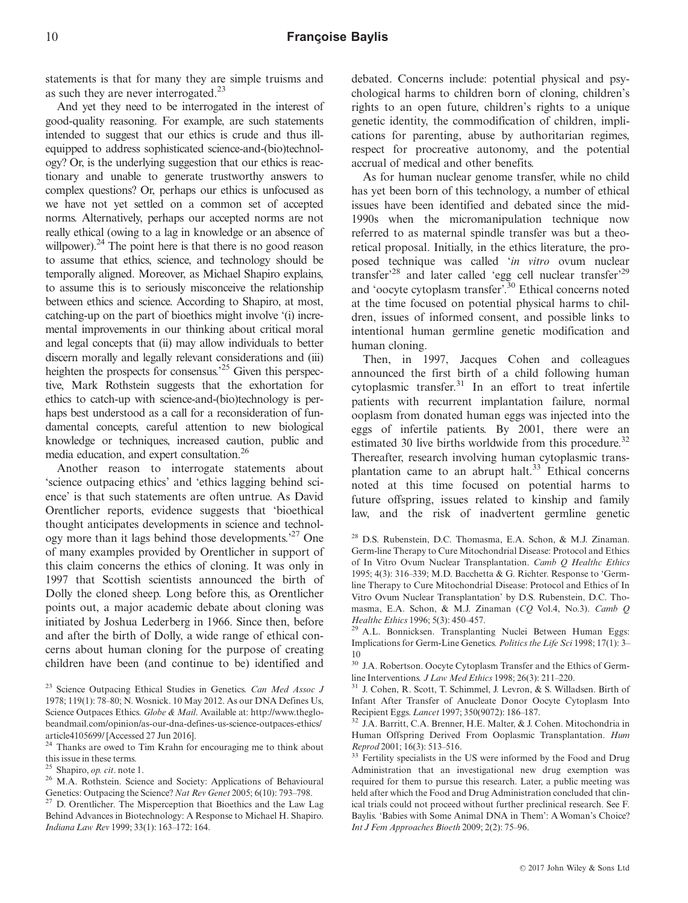statements is that for many they are simple truisms and as such they are never interrogated.<sup>23</sup>

And yet they need to be interrogated in the interest of good-quality reasoning. For example, are such statements intended to suggest that our ethics is crude and thus illequipped to address sophisticated science-and-(bio)technology? Or, is the underlying suggestion that our ethics is reactionary and unable to generate trustworthy answers to complex questions? Or, perhaps our ethics is unfocused as we have not yet settled on a common set of accepted norms. Alternatively, perhaps our accepted norms are not really ethical (owing to a lag in knowledge or an absence of willpower). $^{24}$  The point here is that there is no good reason to assume that ethics, science, and technology should be temporally aligned. Moreover, as Michael Shapiro explains, to assume this is to seriously misconceive the relationship between ethics and science. According to Shapiro, at most, catching-up on the part of bioethics might involve '(i) incremental improvements in our thinking about critical moral and legal concepts that (ii) may allow individuals to better discern morally and legally relevant considerations and (iii) heighten the prospects for consensus.<sup>25</sup> Given this perspective, Mark Rothstein suggests that the exhortation for ethics to catch-up with science-and-(bio)technology is perhaps best understood as a call for a reconsideration of fundamental concepts, careful attention to new biological knowledge or techniques, increased caution, public and media education, and expert consultation.26

Another reason to interrogate statements about 'science outpacing ethics' and 'ethics lagging behind science' is that such statements are often untrue. As David Orentlicher reports, evidence suggests that 'bioethical thought anticipates developments in science and technology more than it lags behind those developments.<sup>27</sup> One of many examples provided by Orentlicher in support of this claim concerns the ethics of cloning. It was only in 1997 that Scottish scientists announced the birth of Dolly the cloned sheep. Long before this, as Orentlicher points out, a major academic debate about cloning was initiated by Joshua Lederberg in 1966. Since then, before and after the birth of Dolly, a wide range of ethical concerns about human cloning for the purpose of creating children have been (and continue to be) identified and

 $27$  D. Orentlicher. The Misperception that Bioethics and the Law Lag Behind Advances in Biotechnology: A Response to Michael H. Shapiro. Indiana Law Rev 1999; 33(1): 163–172: 164.

debated. Concerns include: potential physical and psychological harms to children born of cloning, children's rights to an open future, children's rights to a unique genetic identity, the commodification of children, implications for parenting, abuse by authoritarian regimes, respect for procreative autonomy, and the potential accrual of medical and other benefits.

As for human nuclear genome transfer, while no child has yet been born of this technology, a number of ethical issues have been identified and debated since the mid-1990s when the micromanipulation technique now referred to as maternal spindle transfer was but a theoretical proposal. Initially, in the ethics literature, the proposed technique was called 'in vitro ovum nuclear transfer'<sup>28</sup> and later called 'egg cell nuclear transfer'<sup>29</sup> and 'oocyte cytoplasm transfer'.<sup>30</sup> Ethical concerns noted at the time focused on potential physical harms to children, issues of informed consent, and possible links to intentional human germline genetic modification and human cloning.

Then, in 1997, Jacques Cohen and colleagues announced the first birth of a child following human cytoplasmic transfer.<sup>31</sup> In an effort to treat infertile patients with recurrent implantation failure, normal ooplasm from donated human eggs was injected into the eggs of infertile patients. By 2001, there were an estimated 30 live births worldwide from this procedure.<sup>32</sup> Thereafter, research involving human cytoplasmic transplantation came to an abrupt halt.<sup>33</sup> Ethical concerns noted at this time focused on potential harms to future offspring, issues related to kinship and family law, and the risk of inadvertent germline genetic

<sup>30</sup> J.A. Robertson. Oocyte Cytoplasm Transfer and the Ethics of Germ-<br>line Interventions. *J Law Med Ethics* 1998: 26(3): 211–220.

<sup>&</sup>lt;sup>23</sup> Science Outpacing Ethical Studies in Genetics. Can Med Assoc J 1978; 119(1): 78–80; N. Wosnick. 10 May 2012. As our DNA Defines Us, Science Outpaces Ethics. Globe & Mail. Available at: [http://www.theglo](http://www.theglobeandmail.com/opinion/as-our-dna-defines-us-science-outpaces-ethics/article4105699/)[beandmail.com/opinion/as-our-dna-defines-us-science-outpaces-ethics/](http://www.theglobeandmail.com/opinion/as-our-dna-defines-us-science-outpaces-ethics/article4105699/) [article4105699/](http://www.theglobeandmail.com/opinion/as-our-dna-defines-us-science-outpaces-ethics/article4105699/) [Accessed 27 Jun 2016].

<sup>&</sup>lt;sup>24</sup> Thanks are owed to Tim Krahn for encouraging me to think about

this issue in these terms.<br> $^{25}$  Shapiro, *op. cit.* note 1.

<sup>&</sup>lt;sup>26</sup> M.A. Rothstein. Science and Society: Applications of Behavioural Genetics: Outpacing the Science? *Nat Rev Genet* 2005; 6(10): 793–798.

<sup>28</sup> D.S. Rubenstein, D.C. Thomasma, E.A. Schon, & M.J. Zinaman. Germ-line Therapy to Cure Mitochondrial Disease: Protocol and Ethics of In Vitro Ovum Nuclear Transplantation. Camb Q Healthc Ethics 1995; 4(3): 316–339; M.D. Bacchetta & G. Richter. Response to 'Germline Therapy to Cure Mitochondrial Disease: Protocol and Ethics of In Vitro Ovum Nuclear Transplantation' by D.S. Rubenstein, D.C. Thomasma, E.A. Schon, & M.J. Zinaman (CQ Vol.4, No.3). Camb Q

Healthc Ethics 1996; 5(3): 450–457.<br><sup>29</sup> A.L. Bonnicksen. Transplanting Nuclei Between Human Eggs: Implications for Germ-Line Genetics. Politics the Life Sci 1998; 17(1): 3– 10

 $31$  J. Cohen, R. Scott, T. Schimmel, J. Levron, & S. Willadsen. Birth of Infant After Transfer of Anucleate Donor Oocyte Cytoplasm Into Recipient Eggs. Lancet 1997; 350(9072): 186–187.<br><sup>32</sup> J.A. Barritt, C.A. Brenner, H.E. Malter, & J. Cohen. Mitochondria in

Human Offspring Derived From Ooplasmic Transplantation. *Hum Reprod* 2001; 16(3): 513–516.

<sup>&</sup>lt;sup>33</sup> Fertility specialists in the US were informed by the Food and Drug Administration that an investigational new drug exemption was required for them to pursue this research. Later, a public meeting was held after which the Food and Drug Administration concluded that clinical trials could not proceed without further preclinical research. See F. Baylis. 'Babies with Some Animal DNA in Them': A Woman's Choice? Int J Fem Approaches Bioeth 2009; 2(2): 75–96.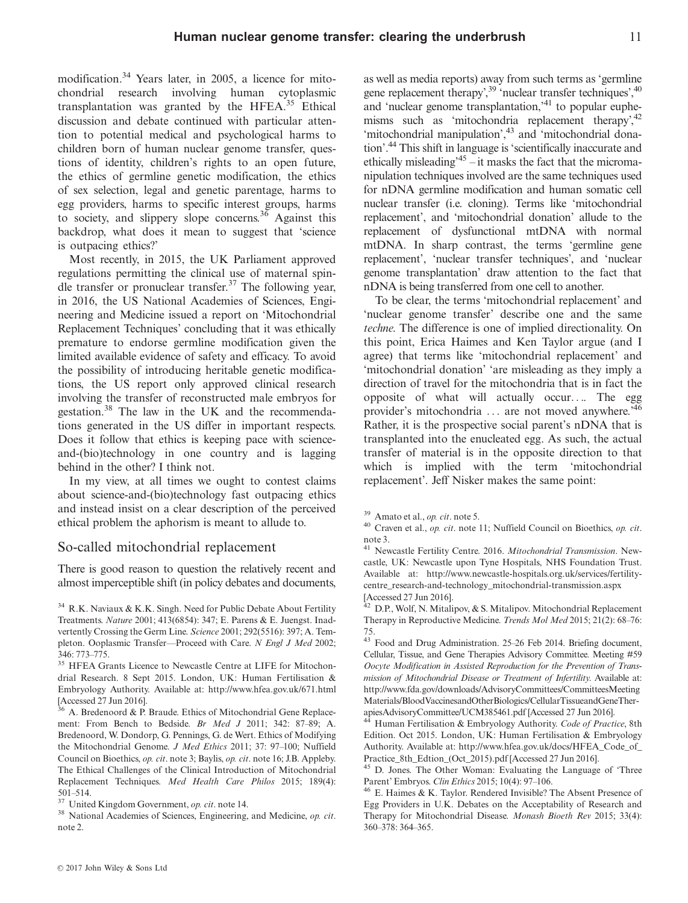modification.34 Years later, in 2005, a licence for mitochondrial research involving human cytoplasmic transplantation was granted by the  $HFEA<sup>35</sup>$  Ethical discussion and debate continued with particular attention to potential medical and psychological harms to children born of human nuclear genome transfer, questions of identity, children's rights to an open future, the ethics of germline genetic modification, the ethics of sex selection, legal and genetic parentage, harms to egg providers, harms to specific interest groups, harms to society, and slippery slope concerns.<sup>36</sup> Against this backdrop, what does it mean to suggest that 'science is outpacing ethics?

Most recently, in 2015, the UK Parliament approved regulations permitting the clinical use of maternal spindle transfer or pronuclear transfer. $37$  The following year, in 2016, the US National Academies of Sciences, Engineering and Medicine issued a report on 'Mitochondrial Replacement Techniques' concluding that it was ethically premature to endorse germline modification given the limited available evidence of safety and efficacy. To avoid the possibility of introducing heritable genetic modifications, the US report only approved clinical research involving the transfer of reconstructed male embryos for gestation.38 The law in the UK and the recommendations generated in the US differ in important respects. Does it follow that ethics is keeping pace with scienceand-(bio)technology in one country and is lagging behind in the other? I think not.

In my view, at all times we ought to contest claims about science-and-(bio)technology fast outpacing ethics and instead insist on a clear description of the perceived ethical problem the aphorism is meant to allude to.

#### So-called mitochondrial replacement

There is good reason to question the relatively recent and almost imperceptible shift (in policy debates and documents,

<sup>38</sup> National Academies of Sciences, Engineering, and Medicine, op. cit. note 2.

as well as media reports) away from such terms as 'germline gene replacement therapy',<sup>39</sup> 'nuclear transfer techniques',<sup>40</sup> and 'nuclear genome transplantation,<sup>41</sup> to popular euphemisms such as 'mitochondria replacement therapy',<sup>42</sup> 'mitochondrial manipulation',<sup>43</sup> and 'mitochondrial donation'.<sup>44</sup> This shift in language is 'scientifically inaccurate and ethically misleading<sup>345</sup> – it masks the fact that the micromanipulation techniques involved are the same techniques used for nDNA germline modification and human somatic cell nuclear transfer (i.e. cloning). Terms like 'mitochondrial replacement', and 'mitochondrial donation' allude to the replacement of dysfunctional mtDNA with normal mtDNA. In sharp contrast, the terms 'germline gene replacement', 'nuclear transfer techniques', and 'nuclear genome transplantation' draw attention to the fact that nDNA is being transferred from one cell to another.

To be clear, the terms 'mitochondrial replacement' and 'nuclear genome transfer' describe one and the same techne. The difference is one of implied directionality. On this point, Erica Haimes and Ken Taylor argue (and I agree) that terms like 'mitochondrial replacement' and 'mitochondrial donation' 'are misleading as they imply a direction of travel for the mitochondria that is in fact the opposite of what will actually occur.... The egg provider's mitochondria ... are not moved anywhere.<sup>46</sup> Rather, it is the prospective social parent's nDNA that is transplanted into the enucleated egg. As such, the actual transfer of material is in the opposite direction to that which is implied with the term 'mitochondrial replacement'. Jeff Nisker makes the same point:

 $42$  D.P., Wolf, N. Mitalipov, & S. Mitalipov. Mitochondrial Replacement Therapy in Reproductive Medicine. Trends Mol Med 2015; 21(2): 68–76:

 $34$  R.K. Naviaux & K.K. Singh. Need for Public Debate About Fertility Treatments. Nature 2001; 413(6854): 347; E. Parens & E. Juengst. Inadvertently Crossing the Germ Line. Science 2001; 292(5516): 397; A. Templeton. Ooplasmic Transfer—Proceed with Care. N Engl J Med 2002; 346: 773–775.

<sup>&</sup>lt;sup>35</sup> HFEA Grants Licence to Newcastle Centre at LIFE for Mitochondrial Research. 8 Sept 2015. London, UK: Human Fertilisation & Embryology Authority. Available at:<http://www.hfea.gov.uk/671.html> [Accessed 27 Jun 2016].

A. Bredenoord & P. Braude. Ethics of Mitochondrial Gene Replacement: From Bench to Bedside. Br Med J 2011; 342: 87–89; A. Bredenoord, W. Dondorp, G. Pennings, G. de Wert. Ethics of Modifying the Mitochondrial Genome. J Med Ethics 2011; 37: 97–100; Nuffield Council on Bioethics, op. cit. note 3; Baylis, op. cit. note 16; J.B. Appleby. The Ethical Challenges of the Clinical Introduction of Mitochondrial Replacement Techniques. Med Health Care Philos 2015; 189(4): 501–514.<br><sup>37</sup> United Kingdom Government, op. cit. note 14.

<sup>&</sup>lt;sup>39</sup> Amato et al., *op. cit.* note 5.  $^{40}$  Craven et al., *op. cit.* note 11; Nuffield Council on Bioethics, *op. cit.* note 3.

<sup>&</sup>lt;sup>41</sup> Newcastle Fertility Centre. 2016. Mitochondrial Transmission. Newcastle, UK: Newcastle upon Tyne Hospitals, NHS Foundation Trust. Available at: [http://www.newcastle-hospitals.org.uk/services/fertility](http://www.newcastle-hospitals.org.uk/services/fertility-centre_research-and-technology_mitochondrial-transmission.aspx)[centre\\_research-and-technology\\_mitochondrial-transmission.aspx](http://www.newcastle-hospitals.org.uk/services/fertility-centre_research-and-technology_mitochondrial-transmission.aspx) [Accessed 27 Jun 2016].

<sup>75.</sup> <sup>43</sup> Food and Drug Administration. 25–26 Feb 2014. Briefing document, Cellular, Tissue, and Gene Therapies Advisory Committee. Meeting #59 Oocyte Modification in Assisted Reproduction for the Prevention of Transmission of Mitochondrial Disease or Treatment of Infertility. Available at: [http://www.fda.gov/downloads/AdvisoryCommittees/CommitteesMeeting](http://www.fda.gov/downloads/AdvisoryCommittees/CommitteesMeetingMaterials/BloodVaccinesandOtherBiologics/CellularTissueandGeneTherapiesAdvisoryCommittee/UCM385461.pdf) [Materials/BloodVaccinesandOtherBiologics/CellularTissueandGeneTher](http://www.fda.gov/downloads/AdvisoryCommittees/CommitteesMeetingMaterials/BloodVaccinesandOtherBiologics/CellularTissueandGeneTherapiesAdvisoryCommittee/UCM385461.pdf)[apiesAdvisoryCommittee/UCM385461.pdf](http://www.fda.gov/downloads/AdvisoryCommittees/CommitteesMeetingMaterials/BloodVaccinesandOtherBiologics/CellularTissueandGeneTherapiesAdvisoryCommittee/UCM385461.pdf) [Accessed 27 Jun 2016].

<sup>&</sup>lt;sup>44</sup> Human Fertilisation & Embryology Authority. Code of Practice, 8th Edition. Oct 2015. London, UK: Human Fertilisation & Embryology Authority. Available at: http://www.hfea.gov.uk/docs/HFEA\_Code\_of [Practice\\_8th\\_Edtion\\_\(Oct\\_2015\).pdf](http://www.hfea.gov.uk/docs/HFEA_Code_of_Practice_8th_Edtion_(Oct_2015).pdf) [Accessed 27 Jun 2016].

<sup>&</sup>lt;sup>45</sup> D. Jones. The Other Woman: Evaluating the Language of 'Three Parent' Embryos. Clin Ethics 2015; 10(4): 97–106.<br><sup>46</sup> E. Haimes & K. Taylor. Rendered Invisible? The Absent Presence of

Egg Providers in U.K. Debates on the Acceptability of Research and Therapy for Mitochondrial Disease. Monash Bioeth Rev 2015; 33(4): 360–378: 364–365.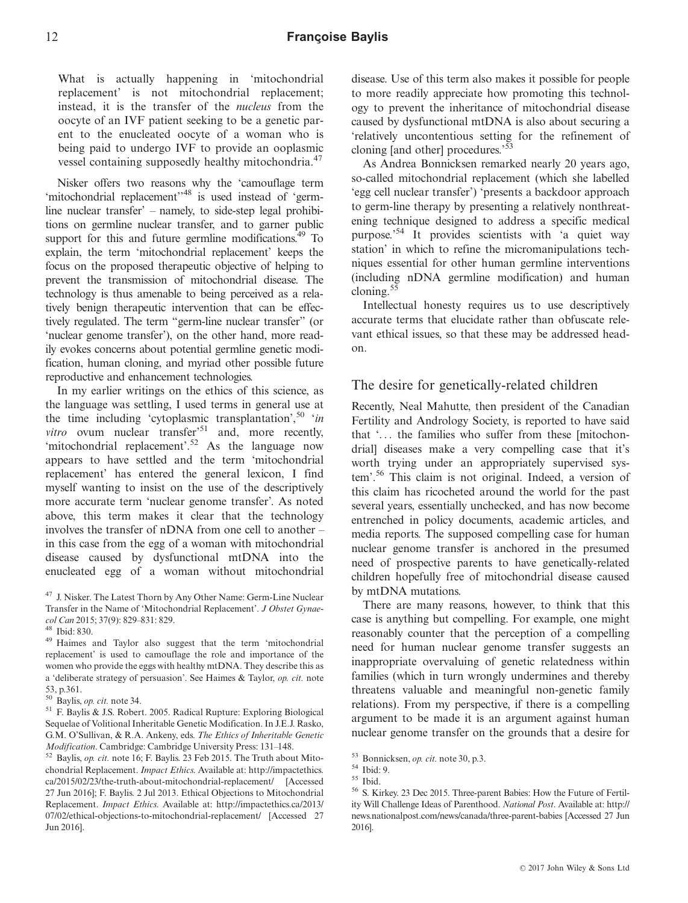What is actually happening in 'mitochondrial replacement' is not mitochondrial replacement; instead, it is the transfer of the nucleus from the oocyte of an IVF patient seeking to be a genetic parent to the enucleated oocyte of a woman who is being paid to undergo IVF to provide an ooplasmic vessel containing supposedly healthy mitochondria.<sup>47</sup>

Nisker offers two reasons why the 'camouflage term 'mitochondrial replacement'<sup>48</sup> is used instead of 'germline nuclear transfer' – namely, to side-step legal prohibitions on germline nuclear transfer, and to garner public support for this and future germline modifications.<sup>49</sup> To explain, the term 'mitochondrial replacement' keeps the focus on the proposed therapeutic objective of helping to prevent the transmission of mitochondrial disease. The technology is thus amenable to being perceived as a relatively benign therapeutic intervention that can be effectively regulated. The term "germ-line nuclear transfer" (or -nuclear genome transfer), on the other hand, more readily evokes concerns about potential germline genetic modification, human cloning, and myriad other possible future reproductive and enhancement technologies.

In my earlier writings on the ethics of this science, as the language was settling, I used terms in general use at the time including 'cytoplasmic transplantation',<sup>50</sup> 'in *vitro* ovum nuclear transfer<sup>51</sup> and, more recently, 'mitochondrial replacement'.<sup>52</sup> As the language now appears to have settled and the term 'mitochondrial replacement' has entered the general lexicon, I find myself wanting to insist on the use of the descriptively more accurate term 'nuclear genome transfer'. As noted above, this term makes it clear that the technology involves the transfer of nDNA from one cell to another – in this case from the egg of a woman with mitochondrial disease caused by dysfunctional mtDNA into the enucleated egg of a woman without mitochondrial disease. Use of this term also makes it possible for people to more readily appreciate how promoting this technology to prevent the inheritance of mitochondrial disease caused by dysfunctional mtDNA is also about securing a -relatively uncontentious setting for the refinement of cloning [and other] procedures.<sup>53</sup>

As Andrea Bonnicksen remarked nearly 20 years ago, so-called mitochondrial replacement (which she labelled 'egg cell nuclear transfer') 'presents a backdoor approach to germ-line therapy by presenting a relatively nonthreatening technique designed to address a specific medical purpose.<sup>54</sup> It provides scientists with 'a quiet way station' in which to refine the micromanipulations techniques essential for other human germline interventions (including nDNA germline modification) and human cloning. $55$ 

Intellectual honesty requires us to use descriptively accurate terms that elucidate rather than obfuscate relevant ethical issues, so that these may be addressed headon.

## The desire for genetically-related children

Recently, Neal Mahutte, then president of the Canadian Fertility and Andrology Society, is reported to have said that '... the families who suffer from these [mitochondrial] diseases make a very compelling case that it's worth trying under an appropriately supervised system.56 This claim is not original. Indeed, a version of this claim has ricocheted around the world for the past several years, essentially unchecked, and has now become entrenched in policy documents, academic articles, and media reports. The supposed compelling case for human nuclear genome transfer is anchored in the presumed need of prospective parents to have genetically-related children hopefully free of mitochondrial disease caused by mtDNA mutations.

There are many reasons, however, to think that this case is anything but compelling. For example, one might reasonably counter that the perception of a compelling need for human nuclear genome transfer suggests an inappropriate overvaluing of genetic relatedness within families (which in turn wrongly undermines and thereby threatens valuable and meaningful non-genetic family relations). From my perspective, if there is a compelling argument to be made it is an argument against human nuclear genome transfer on the grounds that a desire for

<sup>&</sup>lt;sup>47</sup> J. Nisker. The Latest Thorn by Any Other Name: Germ-Line Nuclear Transfer in the Name of 'Mitochondrial Replacement'. J Obstet Gynae*col Can* 2015; 37(9): 829–831: 829.<br><sup>48</sup> Ibid: 830.<br><sup>49</sup> Haimes and Taylor also suggest that the term 'mitochondrial

replacement' is used to camouflage the role and importance of the women who provide the eggs with healthy mtDNA. They describe this as a 'deliberate strategy of persuasion'. See Haimes & Taylor, op. cit. note 53, p.361.<br><sup>50</sup> Baylis, *op. cit.* note 34.

<sup>&</sup>lt;sup>51</sup> F. Baylis & J.S. Robert. 2005. Radical Rupture: Exploring Biological Sequelae of Volitional Inheritable Genetic Modification. In J.E.J. Rasko, G.M. O'Sullivan, & R.A. Ankeny, eds. The Ethics of Inheritable Genetic Modification. Cambridge: Cambridge University Press: 131-148.

 $52$  Baylis, op. cit. note 16; F. Baylis. 23 Feb 2015. The Truth about Mitochondrial Replacement. Impact Ethics. Available at: [http://impactethics.](http://impactethics.ca/2015/02/23/the-truth-about-mitochondrial-replacement/) [ca/2015/02/23/the-truth-about-mitochondrial-replacement/](http://impactethics.ca/2015/02/23/the-truth-about-mitochondrial-replacement/) [Accessed 27 Jun 2016]; F. Baylis. 2 Jul 2013. Ethical Objections to Mitochondrial Replacement. Impact Ethics. Available at: [http://impactethics.ca/2013/](http://impactethics.ca/2013/07/02/ethical-objections-to-mitochondrial-replacement/) [07/02/ethical-objections-to-mitochondrial-replacement/](http://impactethics.ca/2013/07/02/ethical-objections-to-mitochondrial-replacement/) [Accessed 27 Jun 2016].

<sup>&</sup>lt;sup>53</sup> Bonnicksen, *op. cit.* note 30, p.3.<br><sup>54</sup> Ibid: 9.<br><sup>55</sup> Ibid. <sup>56</sup> S. Kirkey. 23 Dec 2015. Three-parent Babies: How the Future of Fertility Will Challenge Ideas of Parenthood. National Post. Available at: [http://](http://news.nationalpost.com/news/canada/three-parent-babies) [news.nationalpost.com/news/canada/three-parent-babies](http://news.nationalpost.com/news/canada/three-parent-babies) [Accessed 27 Jun 2016].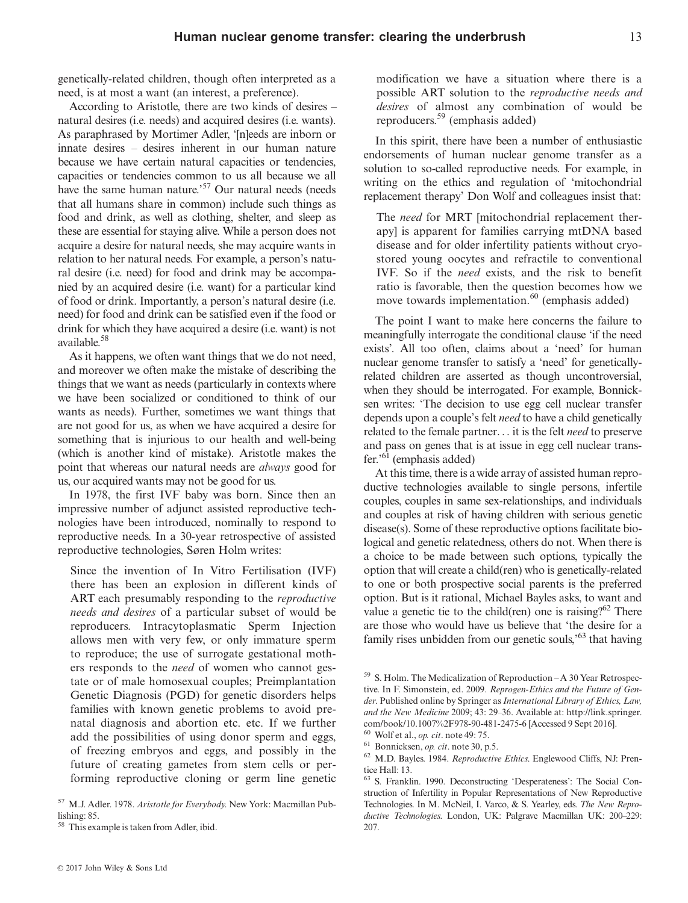genetically-related children, though often interpreted as a need, is at most a want (an interest, a preference).

According to Aristotle, there are two kinds of desires – natural desires (i.e. needs) and acquired desires (i.e. wants). As paraphrased by Mortimer Adler, '[n]eeds are inborn or innate desires – desires inherent in our human nature because we have certain natural capacities or tendencies, capacities or tendencies common to us all because we all have the same human nature.<sup>57</sup> Our natural needs (needs that all humans share in common) include such things as food and drink, as well as clothing, shelter, and sleep as these are essential for staying alive. While a person does not acquire a desire for natural needs, she may acquire wants in relation to her natural needs. For example, a person's natural desire (i.e. need) for food and drink may be accompanied by an acquired desire (i.e. want) for a particular kind of food or drink. Importantly, a person's natural desire (i.e. need) for food and drink can be satisfied even if the food or drink for which they have acquired a desire (i.e. want) is not available.58

As it happens, we often want things that we do not need, and moreover we often make the mistake of describing the things that we want as needs (particularly in contexts where we have been socialized or conditioned to think of our wants as needs). Further, sometimes we want things that are not good for us, as when we have acquired a desire for something that is injurious to our health and well-being (which is another kind of mistake). Aristotle makes the point that whereas our natural needs are always good for us, our acquired wants may not be good for us.

In 1978, the first IVF baby was born. Since then an impressive number of adjunct assisted reproductive technologies have been introduced, nominally to respond to reproductive needs. In a 30-year retrospective of assisted reproductive technologies, Søren Holm writes:

Since the invention of In Vitro Fertilisation (IVF) there has been an explosion in different kinds of ART each presumably responding to the *reproductive* needs and desires of a particular subset of would be reproducers. Intracytoplasmatic Sperm Injection allows men with very few, or only immature sperm to reproduce; the use of surrogate gestational mothers responds to the need of women who cannot gestate or of male homosexual couples; Preimplantation Genetic Diagnosis (PGD) for genetic disorders helps families with known genetic problems to avoid prenatal diagnosis and abortion etc. etc. If we further add the possibilities of using donor sperm and eggs, of freezing embryos and eggs, and possibly in the future of creating gametes from stem cells or performing reproductive cloning or germ line genetic

modification we have a situation where there is a possible ART solution to the reproductive needs and desires of almost any combination of would be reproducers.<sup>59</sup> (emphasis added)

In this spirit, there have been a number of enthusiastic endorsements of human nuclear genome transfer as a solution to so-called reproductive needs. For example, in writing on the ethics and regulation of 'mitochondrial replacement therapy' Don Wolf and colleagues insist that:

The need for MRT [mitochondrial replacement therapy] is apparent for families carrying mtDNA based disease and for older infertility patients without cryostored young oocytes and refractile to conventional IVF. So if the need exists, and the risk to benefit ratio is favorable, then the question becomes how we move towards implementation.<sup>60</sup> (emphasis added)

The point I want to make here concerns the failure to meaningfully interrogate the conditional clause 'if the need exists'. All too often, claims about a 'need' for human nuclear genome transfer to satisfy a 'need' for geneticallyrelated children are asserted as though uncontroversial, when they should be interrogated. For example, Bonnicksen writes: 'The decision to use egg cell nuclear transfer depends upon a couple's felt *need* to have a child genetically related to the female partner... it is the felt *need* to preserve and pass on genes that is at issue in egg cell nuclear transfer. $\degree$ <sup>61</sup> (emphasis added)

At this time, there is awide array of assisted human reproductive technologies available to single persons, infertile couples, couples in same sex-relationships, and individuals and couples at risk of having children with serious genetic disease(s). Some of these reproductive options facilitate biological and genetic relatedness, others do not. When there is a choice to be made between such options, typically the option that will create a child(ren) who is genetically-related to one or both prospective social parents is the preferred option. But is it rational, Michael Bayles asks, to want and value a genetic tie to the child(ren) one is raising? $62$  There are those who would have us believe that 'the desire for a family rises unbidden from our genetic souls,<sup> $63$ </sup> that having

<sup>&</sup>lt;sup>57</sup> M.J. Adler. 1978. Aristotle for Everybody. New York: Macmillan Publishing: 85.

<sup>&</sup>lt;sup>58</sup> This example is taken from Adler, ibid.

 $59$  S. Holm. The Medicalization of Reproduction – A 30 Year Retrospective. In F. Simonstein, ed. 2009. Reprogen-Ethics and the Future of Gender. Published online by Springer as International Library of Ethics, Law, and the New Medicine 2009; 43: 29–36. Available at: [http://link.springer.](http://link.springer.com/book/10.1007%2F978-90-481-2475-6) [com/book/10.1007%2F978-90-481-2475-6](http://link.springer.com/book/10.1007%2F978-90-481-2475-6) [Accessed 9 Sept 2016].

<sup>&</sup>lt;sup>60</sup> Wolf et al., *op. cit.* note 49: 75.<br><sup>61</sup> Bonnicksen, *op. cit.* note 30, p.5.<br><sup>62</sup> M.D. Bayles. 1984. *Reproductive Ethics*. Englewood Cliffs, NJ: Prentice Hall: 13.

<sup>&</sup>lt;sup>63</sup> S. Franklin. 1990. Deconstructing 'Desperateness': The Social Construction of Infertility in Popular Representations of New Reproductive Technologies. In M. McNeil, I. Varco, & S. Yearley, eds. The New Reproductive Technologies. London, UK: Palgrave Macmillan UK: 200–229: 207.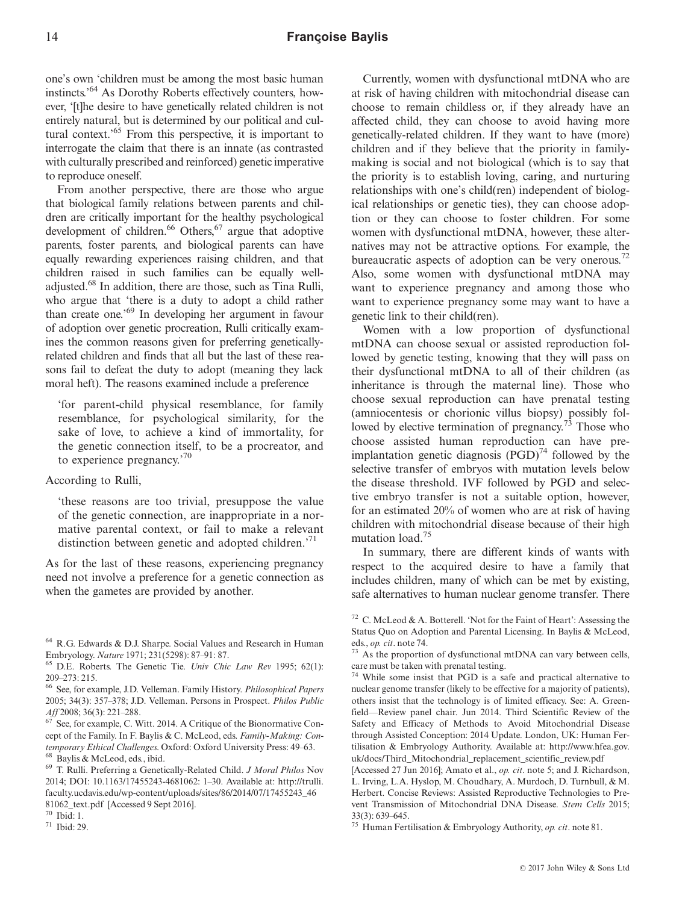one's own 'children must be among the most basic human instincts.<sup>64</sup> As Dorothy Roberts effectively counters, however, '[t]he desire to have genetically related children is not entirely natural, but is determined by our political and cultural context.<sup>65</sup> From this perspective, it is important to interrogate the claim that there is an innate (as contrasted with culturally prescribed and reinforced) genetic imperative to reproduce oneself.

From another perspective, there are those who argue that biological family relations between parents and children are critically important for the healthy psychological development of children.<sup>66</sup> Others,<sup>67</sup> argue that adoptive parents, foster parents, and biological parents can have equally rewarding experiences raising children, and that children raised in such families can be equally welladjusted.68 In addition, there are those, such as Tina Rulli, who argue that 'there is a duty to adopt a child rather than create one.<sup>69</sup> In developing her argument in favour of adoption over genetic procreation, Rulli critically examines the common reasons given for preferring geneticallyrelated children and finds that all but the last of these reasons fail to defeat the duty to adopt (meaning they lack moral heft). The reasons examined include a preference

-for parent-child physical resemblance, for family resemblance, for psychological similarity, for the sake of love, to achieve a kind of immortality, for the genetic connection itself, to be a procreator, and to experience pregnancy.<sup>70</sup>

According to Rulli,

-these reasons are too trivial, presuppose the value of the genetic connection, are inappropriate in a normative parental context, or fail to make a relevant distinction between genetic and adopted children.<sup>71</sup>

As for the last of these reasons, experiencing pregnancy need not involve a preference for a genetic connection as when the gametes are provided by another.

Currently, women with dysfunctional mtDNA who are at risk of having children with mitochondrial disease can choose to remain childless or, if they already have an affected child, they can choose to avoid having more genetically-related children. If they want to have (more) children and if they believe that the priority in familymaking is social and not biological (which is to say that the priority is to establish loving, caring, and nurturing relationships with one's child(ren) independent of biological relationships or genetic ties), they can choose adoption or they can choose to foster children. For some women with dysfunctional mtDNA, however, these alternatives may not be attractive options. For example, the bureaucratic aspects of adoption can be very onerous.<sup>72</sup> Also, some women with dysfunctional mtDNA may want to experience pregnancy and among those who want to experience pregnancy some may want to have a genetic link to their child(ren).

Women with a low proportion of dysfunctional mtDNA can choose sexual or assisted reproduction followed by genetic testing, knowing that they will pass on their dysfunctional mtDNA to all of their children (as inheritance is through the maternal line). Those who choose sexual reproduction can have prenatal testing (amniocentesis or chorionic villus biopsy) possibly followed by elective termination of pregnancy.<sup>73</sup> Those who choose assisted human reproduction can have preimplantation genetic diagnosis  $(PGD)^{74}$  followed by the selective transfer of embryos with mutation levels below the disease threshold. IVF followed by PGD and selective embryo transfer is not a suitable option, however, for an estimated 20% of women who are at risk of having children with mitochondrial disease because of their high mutation load.<sup>75</sup>

In summary, there are different kinds of wants with respect to the acquired desire to have a family that includes children, many of which can be met by existing, safe alternatives to human nuclear genome transfer. There

<sup>&</sup>lt;sup>64</sup> R.G. Edwards & D.J. Sharpe. Social Values and Research in Human Embryology. *Nature* 1971; 231(5298): 87-91: 87.

 $^{65}$  D.E. Roberts. The Genetic Tie. Univ Chic Law Rev 1995; 62(1): 209–273: 215.

<sup>66</sup> See, for example, J.D. Velleman. Family History. Philosophical Papers 2005; 34(3): 357–378; J.D. Velleman. Persons in Prospect. Philos Public Aff 2008; 36(3): 221–288.<br> $67$  See, for example, C. Witt. 2014. A Critique of the Bionormative Con-

cept of the Family. In F. Baylis & C. McLeod, eds. Family-Making: Contemporary Ethical Challenges. Oxford: Oxford University Press: 49-63.

<sup>&</sup>lt;sup>68</sup> Baylis & McLeod, eds., ibid.<br><sup>69</sup> T. Rulli. Preferring a Genetically-Related Child. *J Moral Philos* Nov 2014; DOI: 10.1163/17455243-4681062: 1–30. Available at: [http://trulli.](http://trulli.faculty.ucdavis.edu/wp-content/uploads/sites/86/2014/07/17455243_4681062_text.pdf) [faculty.ucdavis.edu/wp-content/uploads/sites/86/2014/07/17455243\\_46](http://trulli.faculty.ucdavis.edu/wp-content/uploads/sites/86/2014/07/17455243_4681062_text.pdf) [81062\\_text.pdf](http://trulli.faculty.ucdavis.edu/wp-content/uploads/sites/86/2014/07/17455243_4681062_text.pdf) [Accessed 9 Sept 2016].<sup>70</sup> Ibid: 1.

 $71$  Ibid: 29.

 $72$  C. McLeod & A. Botterell. 'Not for the Faint of Heart': Assessing the Status Quo on Adoption and Parental Licensing. In Baylis & McLeod, eds., *op. cit.* note 74.  $\frac{73}{13}$  As the proportion of dysfunctional mtDNA can vary between cells,

care must be taken with prenatal testing. <sup>74</sup> While some insist that PGD is a safe and practical alternative to nuclear genome transfer (likely to be effective for a majority of patients), others insist that the technology is of limited efficacy. See: A. Greenfield—Review panel chair. Jun 2014. Third Scientific Review of the Safety and Efficacy of Methods to Avoid Mitochondrial Disease through Assisted Conception: 2014 Update. London, UK: Human Fertilisation & Embryology Authority. Available at: [http://www.hfea.gov.](http://www.hfea.gov.uk/docs/Third_Mitochondrial_replacement_scientific_review.pdf) [uk/docs/Third\\_Mitochondrial\\_replacement\\_scientific\\_review.pdf](http://www.hfea.gov.uk/docs/Third_Mitochondrial_replacement_scientific_review.pdf)

<sup>[</sup>Accessed 27 Jun 2016]; Amato et al., op. cit. note 5; and J. Richardson, L. Irving, L.A. Hyslop, M. Choudhary, A. Murdoch, D. Turnbull, & M. Herbert. Concise Reviews: Assisted Reproductive Technologies to Prevent Transmission of Mitochondrial DNA Disease. Stem Cells 2015; 33(3): 639–645.

<sup>75</sup> Human Fertilisation & Embryology Authority, op. cit. note 81.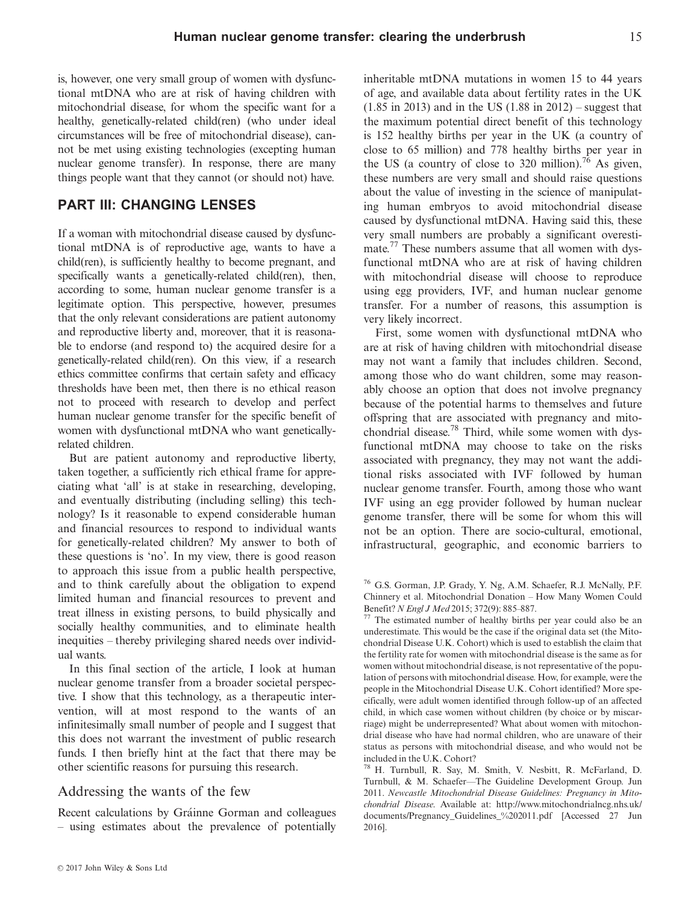is, however, one very small group of women with dysfunctional mtDNA who are at risk of having children with mitochondrial disease, for whom the specific want for a healthy, genetically-related child(ren) (who under ideal circumstances will be free of mitochondrial disease), cannot be met using existing technologies (excepting human nuclear genome transfer). In response, there are many things people want that they cannot (or should not) have.

## PART III: CHANGING LENSES

If a woman with mitochondrial disease caused by dysfunctional mtDNA is of reproductive age, wants to have a child(ren), is sufficiently healthy to become pregnant, and specifically wants a genetically-related child(ren), then, according to some, human nuclear genome transfer is a legitimate option. This perspective, however, presumes that the only relevant considerations are patient autonomy and reproductive liberty and, moreover, that it is reasonable to endorse (and respond to) the acquired desire for a genetically-related child(ren). On this view, if a research ethics committee confirms that certain safety and efficacy thresholds have been met, then there is no ethical reason not to proceed with research to develop and perfect human nuclear genome transfer for the specific benefit of women with dysfunctional mtDNA who want geneticallyrelated children.

But are patient autonomy and reproductive liberty, taken together, a sufficiently rich ethical frame for appreciating what 'all' is at stake in researching, developing, and eventually distributing (including selling) this technology? Is it reasonable to expend considerable human and financial resources to respond to individual wants for genetically-related children? My answer to both of these questions is 'no'. In my view, there is good reason to approach this issue from a public health perspective, and to think carefully about the obligation to expend limited human and financial resources to prevent and treat illness in existing persons, to build physically and socially healthy communities, and to eliminate health inequities – thereby privileging shared needs over individual wants.

In this final section of the article, I look at human nuclear genome transfer from a broader societal perspective. I show that this technology, as a therapeutic intervention, will at most respond to the wants of an infinitesimally small number of people and I suggest that this does not warrant the investment of public research funds. I then briefly hint at the fact that there may be other scientific reasons for pursuing this research.

#### Addressing the wants of the few

Recent calculations by Gráinne Gorman and colleagues – using estimates about the prevalence of potentially

inheritable mtDNA mutations in women 15 to 44 years of age, and available data about fertility rates in the UK  $(1.85 \text{ in } 2013)$  and in the US  $(1.88 \text{ in } 2012)$  – suggest that the maximum potential direct benefit of this technology is 152 healthy births per year in the UK (a country of close to 65 million) and 778 healthy births per year in the US (a country of close to 320 million).<sup>76</sup> As given, these numbers are very small and should raise questions about the value of investing in the science of manipulating human embryos to avoid mitochondrial disease caused by dysfunctional mtDNA. Having said this, these very small numbers are probably a significant overestimate.<sup>77</sup> These numbers assume that all women with dysfunctional mtDNA who are at risk of having children with mitochondrial disease will choose to reproduce using egg providers, IVF, and human nuclear genome transfer. For a number of reasons, this assumption is very likely incorrect.

First, some women with dysfunctional mtDNA who are at risk of having children with mitochondrial disease may not want a family that includes children. Second, among those who do want children, some may reasonably choose an option that does not involve pregnancy because of the potential harms to themselves and future offspring that are associated with pregnancy and mitochondrial disease.<sup>78</sup> Third, while some women with dysfunctional mtDNA may choose to take on the risks associated with pregnancy, they may not want the additional risks associated with IVF followed by human nuclear genome transfer. Fourth, among those who want IVF using an egg provider followed by human nuclear genome transfer, there will be some for whom this will not be an option. There are socio-cultural, emotional, infrastructural, geographic, and economic barriers to

<sup>76</sup> G.S. Gorman, J.P. Grady, Y. Ng, A.M. Schaefer, R.J. McNally, P.F. Chinnery et al. Mitochondrial Donation – How Many Women Could

Benefit? *N Engl J Med* 2015; 372(9): 885–887.<br><sup>77</sup> The estimated number of healthy births per year could also be an underestimate. This would be the case if the original data set (the Mitochondrial Disease U.K. Cohort) which is used to establish the claim that the fertility rate for women with mitochondrial disease is the same as for women without mitochondrial disease, is not representative of the population of persons with mitochondrial disease. How, for example, were the people in the Mitochondrial Disease U.K. Cohort identified? More specifically, were adult women identified through follow-up of an affected child, in which case women without children (by choice or by miscarriage) might be underrepresented? What about women with mitochondrial disease who have had normal children, who are unaware of their status as persons with mitochondrial disease, and who would not be included in the U.K. Cohort?

<sup>78</sup> H. Turnbull, R. Say, M. Smith, V. Nesbitt, R. McFarland, D. Turnbull, & M. Schaefer—The Guideline Development Group. Jun 2011. Newcastle Mitochondrial Disease Guidelines: Pregnancy in Mitochondrial Disease. Available at: [http://www.mitochondrialncg.nhs.uk/](http://www.mitochondrialncg.nhs.uk/documents/Pregnancy_Guidelines_%202011.pdf) [documents/Pregnancy\\_Guidelines\\_%202011.pdf](http://www.mitochondrialncg.nhs.uk/documents/Pregnancy_Guidelines_%202011.pdf) [Accessed 27 Jun 2016].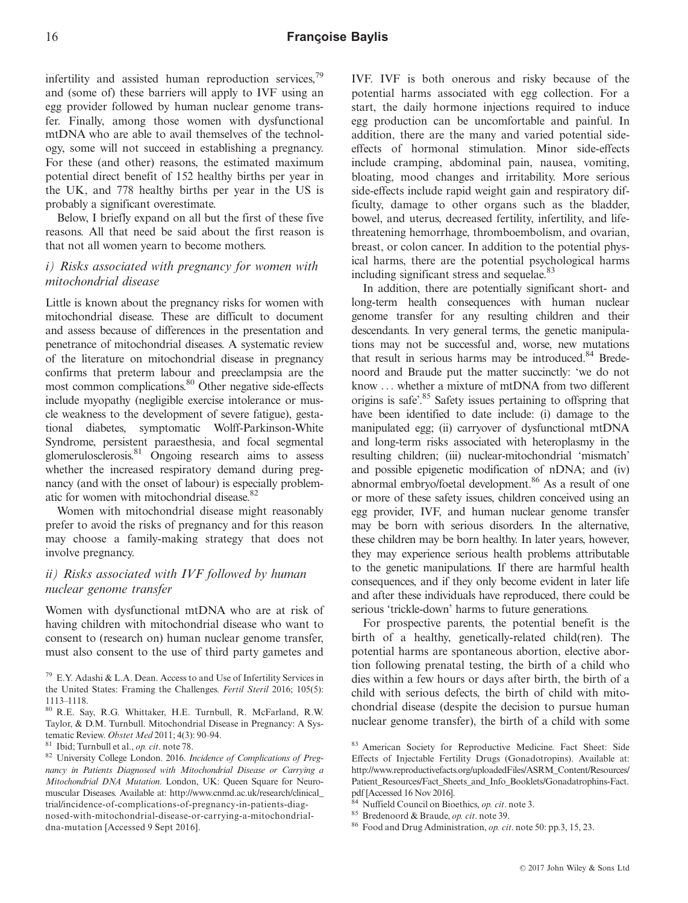infertility and assisted human reproduction services,  $^{79}$ and (some of) these barriers will apply to IVF using an egg provider followed by human nuclear genome transfer. Finally, among those women with dysfunctional mtDNA who are able to avail themselves of the technology, some will not succeed in establishing a pregnancy. For these (and other) reasons, the estimated maximum potential direct benefit of 152 healthy births per year in the UK, and 778 healthy births per year in the US is probably a significant overestimate.

Below, I briefly expand on all but the first of these five reasons. All that need be said about the first reason is that not all women yearn to become mothers.

### i) Risks associated with pregnancy for women with mitochondrial disease

Little is known about the pregnancy risks for women with mitochondrial disease. These are difficult to document and assess because of differences in the presentation and penetrance of mitochondrial diseases. A systematic review of the literature on mitochondrial disease in pregnancy confirms that preterm labour and preeclampsia are the most common complications.80 Other negative side-effects include myopathy (negligible exercise intolerance or muscle weakness to the development of severe fatigue), gestational diabetes, symptomatic Wolff-Parkinson-White Syndrome, persistent paraesthesia, and focal segmental glomerulosclerosis.81 Ongoing research aims to assess whether the increased respiratory demand during pregnancy (and with the onset of labour) is especially problematic for women with mitochondrial disease.<sup>82</sup>

Women with mitochondrial disease might reasonably prefer to avoid the risks of pregnancy and for this reason may choose a family-making strategy that does not involve pregnancy.

### ii) Risks associated with IVF followed by human nuclear genome transfer

Women with dysfunctional mtDNA who are at risk of having children with mitochondrial disease who want to consent to (research on) human nuclear genome transfer, must also consent to the use of third party gametes and IVF. IVF is both onerous and risky because of the potential harms associated with egg collection. For a start, the daily hormone injections required to induce egg production can be uncomfortable and painful. In addition, there are the many and varied potential sideeffects of hormonal stimulation. Minor side-effects include cramping, abdominal pain, nausea, vomiting, bloating, mood changes and irritability. More serious side-effects include rapid weight gain and respiratory difficulty, damage to other organs such as the bladder, bowel, and uterus, decreased fertility, infertility, and lifethreatening hemorrhage, thromboembolism, and ovarian, breast, or colon cancer. In addition to the potential physical harms, there are the potential psychological harms including significant stress and sequelae.<sup>83</sup>

In addition, there are potentially significant short- and long-term health consequences with human nuclear genome transfer for any resulting children and their descendants. In very general terms, the genetic manipulations may not be successful and, worse, new mutations that result in serious harms may be introduced.<sup>84</sup> Bredenoord and Braude put the matter succinctly: 'we do not know ... whether a mixture of mtDNA from two different origins is safe<sup>85</sup> Safety issues pertaining to offspring that have been identified to date include: (i) damage to the manipulated egg; (ii) carryover of dysfunctional mtDNA and long-term risks associated with heteroplasmy in the resulting children; (iii) nuclear-mitochondrial 'mismatch' and possible epigenetic modification of nDNA; and (iv) abnormal embryo/foetal development.<sup>86</sup> As a result of one or more of these safety issues, children conceived using an egg provider, IVF, and human nuclear genome transfer may be born with serious disorders. In the alternative, these children may be born healthy. In later years, however, they may experience serious health problems attributable to the genetic manipulations. If there are harmful health consequences, and if they only become evident in later life and after these individuals have reproduced, there could be serious 'trickle-down' harms to future generations.

For prospective parents, the potential benefit is the birth of a healthy, genetically-related child(ren). The potential harms are spontaneous abortion, elective abortion following prenatal testing, the birth of a child who dies within a few hours or days after birth, the birth of a child with serious defects, the birth of child with mitochondrial disease (despite the decision to pursue human nuclear genome transfer), the birth of a child with some

 $79$  E.Y. Adashi & L.A. Dean. Access to and Use of Infertility Services in the United States: Framing the Challenges. Fertil Steril 2016; 105(5): 1113–1118.

<sup>80</sup> R.E. Say, R.G. Whittaker, H.E. Turnbull, R. McFarland, R.W. Taylor, & D.M. Turnbull. Mitochondrial Disease in Pregnancy: A Systematic Review. Obstet Med 2011; 4(3): 90-94.

<sup>&</sup>lt;sup>81</sup> Ibid; Turnbull et al., op. cit. note 78.<br><sup>82</sup> University College London. 2016. *Incidence of Complications of Preg*nancy in Patients Diagnosed with Mitochondrial Disease or Carrying a Mitochondrial DNA Mutation. London, UK: Queen Square for Neuromuscular Diseases. Available at: [http://www.cnmd.ac.uk/research/clinical\\_](http://www.cnmd.ac.uk/research/clinical_trial/incidence-of-complications-of-pregnancy-in-patients-diagnosed-with-mitochondrial-disease-or-carrying-a-mitochondrial-dna-mutation) [trial/incidence-of-complications-of-pregnancy-in-patients-diag](http://www.cnmd.ac.uk/research/clinical_trial/incidence-of-complications-of-pregnancy-in-patients-diagnosed-with-mitochondrial-disease-or-carrying-a-mitochondrial-dna-mutation)[nosed-with-mitochondrial-disease-or-carrying-a-mitochondrial](http://www.cnmd.ac.uk/research/clinical_trial/incidence-of-complications-of-pregnancy-in-patients-diagnosed-with-mitochondrial-disease-or-carrying-a-mitochondrial-dna-mutation)[dna-mutation](http://www.cnmd.ac.uk/research/clinical_trial/incidence-of-complications-of-pregnancy-in-patients-diagnosed-with-mitochondrial-disease-or-carrying-a-mitochondrial-dna-mutation) [Accessed 9 Sept 2016].

<sup>83</sup> American Society for Reproductive Medicine. Fact Sheet: Side Effects of Injectable Fertility Drugs (Gonadotropins). Available at: [http://www.reproductivefacts.org/uploadedFiles/ASRM\\_Content/Resources/](http://www.reproductivefacts.org/uploadedFiles/ASRM_Content/Resources/Patient_Resources/Fact_Sheets_and_Info_Booklets/Gonadatrophins-Fact.pdf) [Patient\\_Resources/Fact\\_Sheets\\_and\\_Info\\_Booklets/Gonadatrophins-Fact.](http://www.reproductivefacts.org/uploadedFiles/ASRM_Content/Resources/Patient_Resources/Fact_Sheets_and_Info_Booklets/Gonadatrophins-Fact.pdf) [pdf](http://www.reproductivefacts.org/uploadedFiles/ASRM_Content/Resources/Patient_Resources/Fact_Sheets_and_Info_Booklets/Gonadatrophins-Fact.pdf) [Accessed 16 Nov 2016].<br><sup>84</sup> Nuffield Council on Bioethics, *op. cit.* note 3.

<sup>&</sup>lt;sup>85</sup> Bredenoord & Braude, *op. cit.* note 39. <sup>86</sup> Food and Drug Administration, *op. cit.* note 50: pp.3, 15, 23.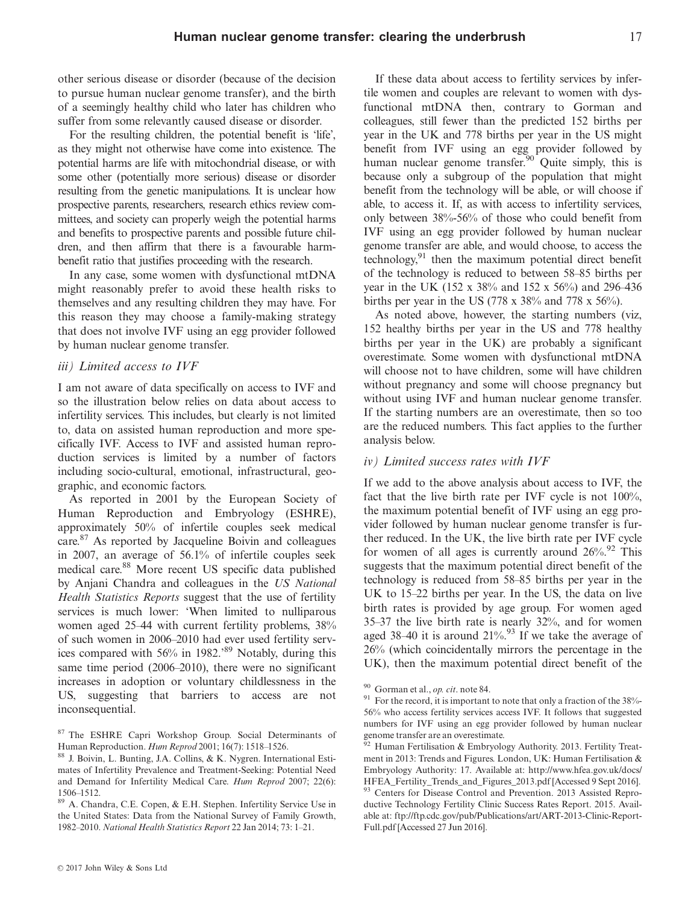other serious disease or disorder (because of the decision to pursue human nuclear genome transfer), and the birth of a seemingly healthy child who later has children who suffer from some relevantly caused disease or disorder.

For the resulting children, the potential benefit is 'life', as they might not otherwise have come into existence. The potential harms are life with mitochondrial disease, or with some other (potentially more serious) disease or disorder resulting from the genetic manipulations. It is unclear how prospective parents, researchers, research ethics review committees, and society can properly weigh the potential harms and benefits to prospective parents and possible future children, and then affirm that there is a favourable harmbenefit ratio that justifies proceeding with the research.

In any case, some women with dysfunctional mtDNA might reasonably prefer to avoid these health risks to themselves and any resulting children they may have. For this reason they may choose a family-making strategy that does not involve IVF using an egg provider followed by human nuclear genome transfer.

#### iii) Limited access to IVF

I am not aware of data specifically on access to IVF and so the illustration below relies on data about access to infertility services. This includes, but clearly is not limited to, data on assisted human reproduction and more specifically IVF. Access to IVF and assisted human reproduction services is limited by a number of factors including socio-cultural, emotional, infrastructural, geographic, and economic factors.

As reported in 2001 by the European Society of Human Reproduction and Embryology (ESHRE), approximately 50% of infertile couples seek medical care.87 As reported by Jacqueline Boivin and colleagues in 2007, an average of 56.1% of infertile couples seek medical care.88 More recent US specific data published by Anjani Chandra and colleagues in the US National Health Statistics Reports suggest that the use of fertility services is much lower: 'When limited to nulliparous women aged 25–44 with current fertility problems, 38% of such women in 2006–2010 had ever used fertility services compared with  $56\%$  in 1982.<sup>89</sup> Notably, during this same time period (2006–2010), there were no significant increases in adoption or voluntary childlessness in the US, suggesting that barriers to access are not inconsequential.

If these data about access to fertility services by infertile women and couples are relevant to women with dysfunctional mtDNA then, contrary to Gorman and colleagues, still fewer than the predicted 152 births per year in the UK and 778 births per year in the US might benefit from IVF using an egg provider followed by human nuclear genome transfer.<sup>90</sup> Quite simply, this is because only a subgroup of the population that might benefit from the technology will be able, or will choose if able, to access it. If, as with access to infertility services, only between 38%-56% of those who could benefit from IVF using an egg provider followed by human nuclear genome transfer are able, and would choose, to access the technology, $91$  then the maximum potential direct benefit of the technology is reduced to between 58–85 births per year in the UK (152 x 38% and 152 x 56%) and 296–436 births per year in the US (778 x 38% and 778 x 56%).

As noted above, however, the starting numbers (viz, 152 healthy births per year in the US and 778 healthy births per year in the UK) are probably a significant overestimate. Some women with dysfunctional mtDNA will choose not to have children, some will have children without pregnancy and some will choose pregnancy but without using IVF and human nuclear genome transfer. If the starting numbers are an overestimate, then so too are the reduced numbers. This fact applies to the further analysis below.

#### iv) Limited success rates with IVF

If we add to the above analysis about access to IVF, the fact that the live birth rate per IVF cycle is not 100%, the maximum potential benefit of IVF using an egg provider followed by human nuclear genome transfer is further reduced. In the UK, the live birth rate per IVF cycle for women of all ages is currently around  $26\%$ .<sup>92</sup> This suggests that the maximum potential direct benefit of the technology is reduced from 58–85 births per year in the UK to 15–22 births per year. In the US, the data on live birth rates is provided by age group. For women aged 35–37 the live birth rate is nearly 32%, and for women aged 38-40 it is around  $21\%$ .<sup>93</sup> If we take the average of 26% (which coincidentally mirrors the percentage in the UK), then the maximum potential direct benefit of the

<sup>87</sup> The ESHRE Capri Workshop Group. Social Determinants of Human Reproduction. Hum Reprod 2001; 16(7): 1518–1526.<br><sup>88</sup> J. Boivin, L. Bunting, J.A. Collins, & K. Nygren. International Esti-

mates of Infertility Prevalence and Treatment-Seeking: Potential Need and Demand for Infertility Medical Care. Hum Reprod 2007; 22(6): 1506–1512.

<sup>89</sup> A. Chandra, C.E. Copen, & E.H. Stephen. Infertility Service Use in the United States: Data from the National Survey of Family Growth, 1982–2010. National Health Statistics Report 22 Jan 2014; 73: 1–21.

<sup>&</sup>lt;sup>90</sup> Gorman et al., *op. cit.* note 84. <sup>91</sup> For the record, it is important to note that only a fraction of the 38%-56% who access fertility services access IVF. It follows that suggested numbers for IVF using an egg provider followed by human nuclear genome transfer are an overestimate.

Human Fertilisation & Embryology Authority. 2013. Fertility Treatment in 2013: Trends and Figures. London, UK: Human Fertilisation & Embryology Authority: 17. Available at: [http://www.hfea.gov.uk/docs/](http://www.hfea.gov.uk/docs/HFEA_Fertility_Trends_and_Figures_2013.pdf) [HFEA\\_Fertility\\_Trends\\_and\\_Figures\\_2013.pdf](http://www.hfea.gov.uk/docs/HFEA_Fertility_Trends_and_Figures_2013.pdf) [Accessed 9 Sept 2016]. <sup>93</sup> Centers for Disease Control and Prevention. 2013 Assisted Reproductive Technology Fertility Clinic Success Rates Report. 2015. Available at: [ftp://ftp.cdc.gov/pub/Publications/art/ART-2013-Clinic-Report-](http://ftp://ftp.cdc.gov/pub/Publications/art/ART-2013-Clinic-Report-Full.pdf)[Full.pdf](http://ftp://ftp.cdc.gov/pub/Publications/art/ART-2013-Clinic-Report-Full.pdf) [Accessed 27 Jun 2016].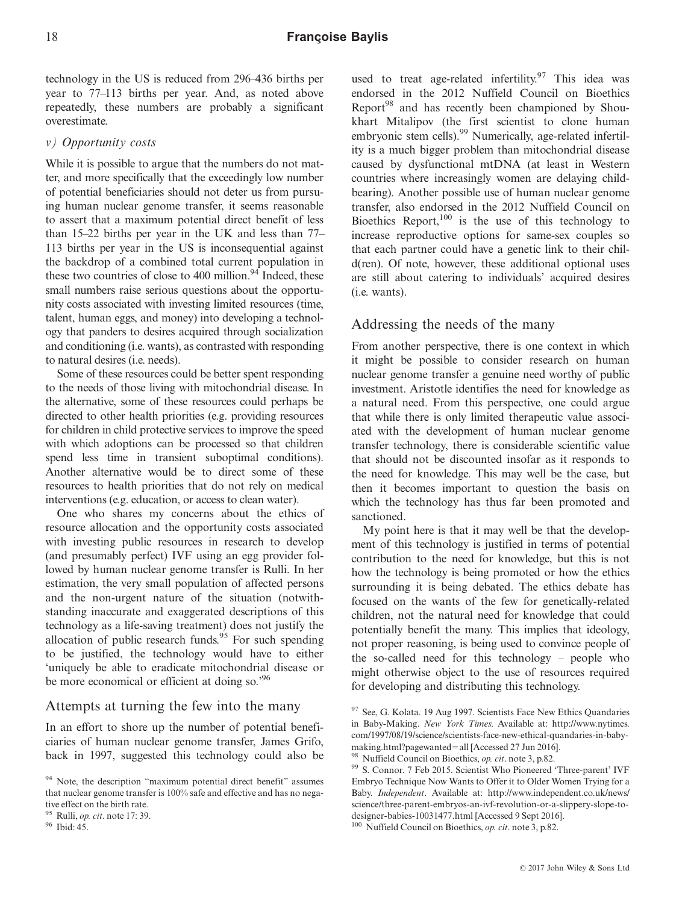technology in the US is reduced from 296–436 births per year to 77–113 births per year. And, as noted above repeatedly, these numbers are probably a significant overestimate.

#### v) Opportunity costs

While it is possible to argue that the numbers do not matter, and more specifically that the exceedingly low number of potential beneficiaries should not deter us from pursuing human nuclear genome transfer, it seems reasonable to assert that a maximum potential direct benefit of less than 15–22 births per year in the UK and less than 77– 113 births per year in the US is inconsequential against the backdrop of a combined total current population in these two countries of close to 400 million. $94$  Indeed, these small numbers raise serious questions about the opportunity costs associated with investing limited resources (time, talent, human eggs, and money) into developing a technology that panders to desires acquired through socialization and conditioning (i.e. wants), as contrasted with responding to natural desires (i.e. needs).

Some of these resources could be better spent responding to the needs of those living with mitochondrial disease. In the alternative, some of these resources could perhaps be directed to other health priorities (e.g. providing resources for children in child protective services to improve the speed with which adoptions can be processed so that children spend less time in transient suboptimal conditions). Another alternative would be to direct some of these resources to health priorities that do not rely on medical interventions (e.g. education, or access to clean water).

One who shares my concerns about the ethics of resource allocation and the opportunity costs associated with investing public resources in research to develop (and presumably perfect) IVF using an egg provider followed by human nuclear genome transfer is Rulli. In her estimation, the very small population of affected persons and the non-urgent nature of the situation (notwithstanding inaccurate and exaggerated descriptions of this technology as a life-saving treatment) does not justify the allocation of public research funds.<sup>95</sup> For such spending to be justified, the technology would have to either -uniquely be able to eradicate mitochondrial disease or be more economical or efficient at doing so.<sup>96</sup>

## Attempts at turning the few into the many

In an effort to shore up the number of potential beneficiaries of human nuclear genome transfer, James Grifo, back in 1997, suggested this technology could also be used to treat age-related infertility.<sup>97</sup> This idea was endorsed in the 2012 Nuffield Council on Bioethics Report<sup>98</sup> and has recently been championed by Shoukhart Mitalipov (the first scientist to clone human embryonic stem cells).<sup>99</sup> Numerically, age-related infertility is a much bigger problem than mitochondrial disease caused by dysfunctional mtDNA (at least in Western countries where increasingly women are delaying childbearing). Another possible use of human nuclear genome transfer, also endorsed in the 2012 Nuffield Council on Bioethics Report, $100$  is the use of this technology to increase reproductive options for same-sex couples so that each partner could have a genetic link to their child(ren). Of note, however, these additional optional uses are still about catering to individuals' acquired desires (i.e. wants).

## Addressing the needs of the many

From another perspective, there is one context in which it might be possible to consider research on human nuclear genome transfer a genuine need worthy of public investment. Aristotle identifies the need for knowledge as a natural need. From this perspective, one could argue that while there is only limited therapeutic value associated with the development of human nuclear genome transfer technology, there is considerable scientific value that should not be discounted insofar as it responds to the need for knowledge. This may well be the case, but then it becomes important to question the basis on which the technology has thus far been promoted and sanctioned.

My point here is that it may well be that the development of this technology is justified in terms of potential contribution to the need for knowledge, but this is not how the technology is being promoted or how the ethics surrounding it is being debated. The ethics debate has focused on the wants of the few for genetically-related children, not the natural need for knowledge that could potentially benefit the many. This implies that ideology, not proper reasoning, is being used to convince people of the so-called need for this technology – people who might otherwise object to the use of resources required for developing and distributing this technology.

<sup>&</sup>lt;sup>94</sup> Note, the description "maximum potential direct benefit" assumes that nuclear genome transfer is 100% safe and effective and has no negative effect on the birth rate.

<sup>&</sup>lt;sup>95</sup> Rulli, *op. cit.* note 17: 39.<br><sup>96</sup> Ibid: 45.

<sup>&</sup>lt;sup>97</sup> See, G. Kolata. 19 Aug 1997. Scientists Face New Ethics Quandaries in Baby-Making. New York Times. Available at: [http://www.nytimes.](http://www.nytimes.com/1997/08/19/science/scientists-face-new-ethical-quandaries-in-baby-making.html?pagewanted=all) [com/1997/08/19/science/scientists-face-new-ethical-quandaries-in-baby-](http://www.nytimes.com/1997/08/19/science/scientists-face-new-ethical-quandaries-in-baby-making.html?pagewanted=all)

[making.html?pagewanted](http://www.nytimes.com/1997/08/19/science/scientists-face-new-ethical-quandaries-in-baby-making.html?pagewanted=all)=[all](http://www.nytimes.com/1997/08/19/science/scientists-face-new-ethical-quandaries-in-baby-making.html?pagewanted=all) [Accessed 27 Jun 2016].<br><sup>98</sup> Nuffield Council on Bioethics, *op. cit.* note 3, p.82.<br><sup>99</sup> S. Connor. 7 Feb 2015. Scientist Who Pioneered 'Three-parent' IVF Embryo Technique Now Wants to Offer it to Older Women Trying for a Baby. Independent. Available at: [http://www.independent.co.uk/news/](http://www.independent.co.uk/news/science/three-parent-embryos-an-ivf-revolution-or-a-slippery-slope-to-designer-babies-10031477.html) [science/three-parent-embryos-an-ivf-revolution-or-a-slippery-slope-to](http://www.independent.co.uk/news/science/three-parent-embryos-an-ivf-revolution-or-a-slippery-slope-to-designer-babies-10031477.html)[designer-babies-10031477.html](http://www.independent.co.uk/news/science/three-parent-embryos-an-ivf-revolution-or-a-slippery-slope-to-designer-babies-10031477.html) [Accessed 9 Sept 2016].

<sup>&</sup>lt;sup>100</sup> Nuffield Council on Bioethics, op. cit. note 3, p.82.